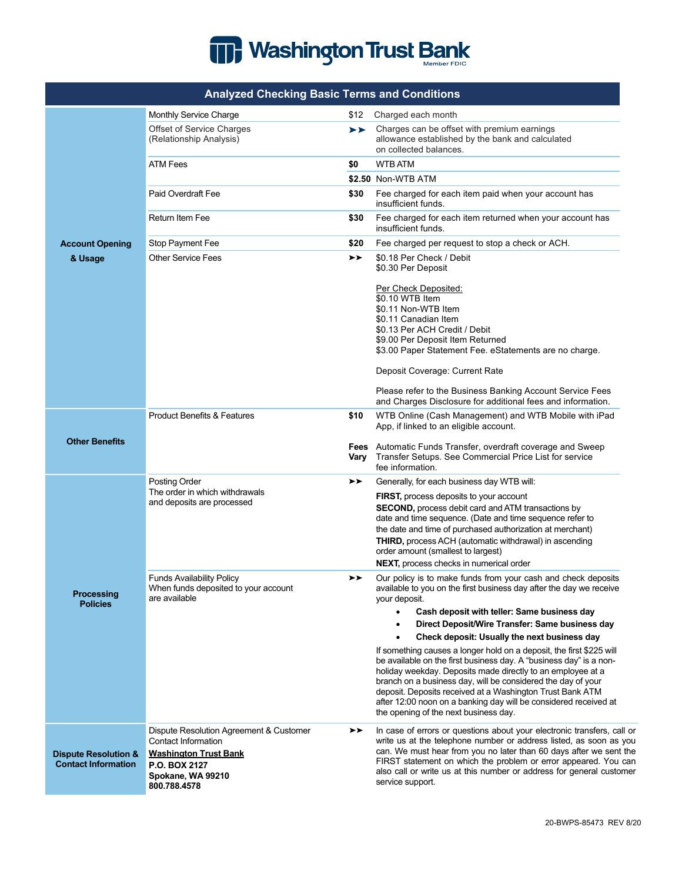

| <b>Analyzed Checking Basic Terms and Conditions</b>           |                                                                                                                                                      |      |                                                                                                                                                                                                                                                                                                                                                                                                                                                     |  |
|---------------------------------------------------------------|------------------------------------------------------------------------------------------------------------------------------------------------------|------|-----------------------------------------------------------------------------------------------------------------------------------------------------------------------------------------------------------------------------------------------------------------------------------------------------------------------------------------------------------------------------------------------------------------------------------------------------|--|
|                                                               | Monthly Service Charge                                                                                                                               | \$12 | Charged each month                                                                                                                                                                                                                                                                                                                                                                                                                                  |  |
|                                                               | Offset of Service Charges<br>(Relationship Analysis)                                                                                                 | ≻≻   | Charges can be offset with premium earnings<br>allowance established by the bank and calculated<br>on collected balances.                                                                                                                                                                                                                                                                                                                           |  |
|                                                               | <b>ATM Fees</b>                                                                                                                                      | \$0  | <b>WTB ATM</b>                                                                                                                                                                                                                                                                                                                                                                                                                                      |  |
|                                                               |                                                                                                                                                      |      | \$2.50 Non-WTB ATM                                                                                                                                                                                                                                                                                                                                                                                                                                  |  |
|                                                               | Paid Overdraft Fee                                                                                                                                   | \$30 | Fee charged for each item paid when your account has<br>insufficient funds.                                                                                                                                                                                                                                                                                                                                                                         |  |
|                                                               | Return Item Fee                                                                                                                                      | \$30 | Fee charged for each item returned when your account has<br>insufficient funds.                                                                                                                                                                                                                                                                                                                                                                     |  |
| <b>Account Opening</b>                                        | Stop Payment Fee                                                                                                                                     | \$20 | Fee charged per request to stop a check or ACH.                                                                                                                                                                                                                                                                                                                                                                                                     |  |
| & Usage                                                       | <b>Other Service Fees</b>                                                                                                                            | ≻≻   | \$0.18 Per Check / Debit<br>\$0.30 Per Deposit                                                                                                                                                                                                                                                                                                                                                                                                      |  |
|                                                               |                                                                                                                                                      |      | Per Check Deposited:<br>\$0.10 WTB Item<br>\$0.11 Non-WTB Item<br>\$0.11 Canadian Item<br>\$0.13 Per ACH Credit / Debit<br>\$9.00 Per Deposit Item Returned<br>\$3.00 Paper Statement Fee. eStatements are no charge.<br>Deposit Coverage: Current Rate                                                                                                                                                                                             |  |
|                                                               |                                                                                                                                                      |      | Please refer to the Business Banking Account Service Fees<br>and Charges Disclosure for additional fees and information.                                                                                                                                                                                                                                                                                                                            |  |
| <b>Other Benefits</b>                                         | <b>Product Benefits &amp; Features</b>                                                                                                               | \$10 | WTB Online (Cash Management) and WTB Mobile with iPad<br>App, if linked to an eligible account.                                                                                                                                                                                                                                                                                                                                                     |  |
|                                                               |                                                                                                                                                      | Vary | <b>Fees</b> Automatic Funds Transfer, overdraft coverage and Sweep<br>Transfer Setups. See Commercial Price List for service<br>fee information.                                                                                                                                                                                                                                                                                                    |  |
| <b>Processing</b><br><b>Policies</b>                          | <b>Posting Order</b><br>The order in which withdrawals<br>and deposits are processed                                                                 | ≻≻   | Generally, for each business day WTB will:<br>FIRST, process deposits to your account<br><b>SECOND, process debit card and ATM transactions by</b><br>date and time sequence. (Date and time sequence refer to<br>the date and time of purchased authorization at merchant)<br>THIRD, process ACH (automatic withdrawal) in ascending<br>order amount (smallest to largest)<br><b>NEXT, process checks in numerical order</b>                       |  |
|                                                               | <b>Funds Availability Policy</b><br>When funds deposited to your account<br>are available                                                            | ➤    | Our policy is to make funds from your cash and check deposits<br>available to you on the first business day after the day we receive<br>your deposit.                                                                                                                                                                                                                                                                                               |  |
|                                                               |                                                                                                                                                      |      | Cash deposit with teller: Same business day<br>Direct Deposit/Wire Transfer: Same business day                                                                                                                                                                                                                                                                                                                                                      |  |
|                                                               |                                                                                                                                                      |      | Check deposit: Usually the next business day                                                                                                                                                                                                                                                                                                                                                                                                        |  |
|                                                               |                                                                                                                                                      |      | If something causes a longer hold on a deposit, the first \$225 will<br>be available on the first business day. A "business day" is a non-<br>holiday weekday. Deposits made directly to an employee at a<br>branch on a business day, will be considered the day of your<br>deposit. Deposits received at a Washington Trust Bank ATM<br>after 12:00 noon on a banking day will be considered received at<br>the opening of the next business day. |  |
| <b>Dispute Resolution &amp;</b><br><b>Contact Information</b> | Dispute Resolution Agreement & Customer<br>Contact Information<br><b>Washington Trust Bank</b><br>P.O. BOX 2127<br>Spokane, WA 99210<br>800.788.4578 | ≻≻   | In case of errors or questions about your electronic transfers, call or<br>write us at the telephone number or address listed, as soon as you<br>can. We must hear from you no later than 60 days after we sent the<br>FIRST statement on which the problem or error appeared. You can<br>also call or write us at this number or address for general customer<br>service support.                                                                  |  |